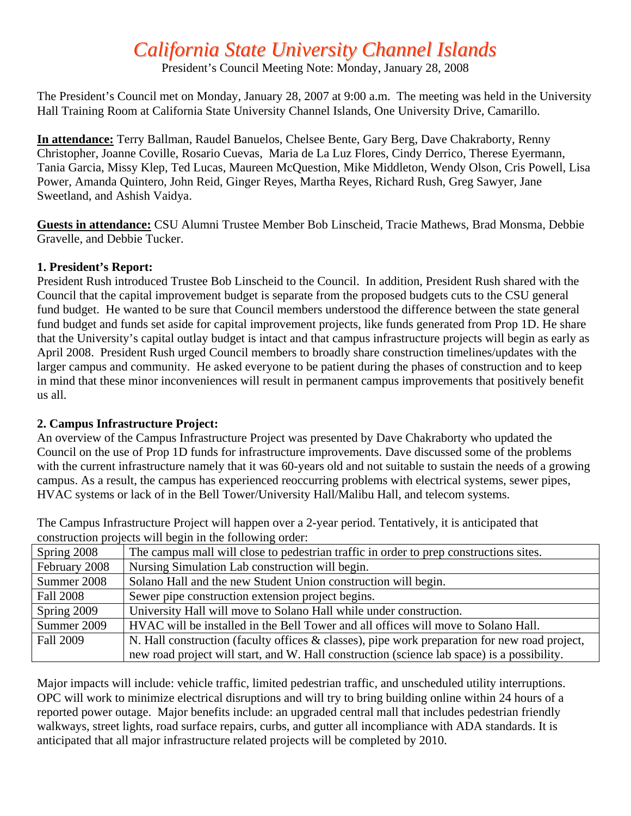# *California State University Channel Islands*

President's Council Meeting Note: Monday, January 28, 2008

The President's Council met on Monday, January 28, 2007 at 9:00 a.m. The meeting was held in the University Hall Training Room at California State University Channel Islands, One University Drive, Camarillo.

**In attendance:** Terry Ballman, Raudel Banuelos, Chelsee Bente, Gary Berg, Dave Chakraborty, Renny Christopher, Joanne Coville, Rosario Cuevas, Maria de La Luz Flores, Cindy Derrico, Therese Eyermann, Tania Garcia, Missy Klep, Ted Lucas, Maureen McQuestion, Mike Middleton, Wendy Olson, Cris Powell, Lisa Power, Amanda Quintero, John Reid, Ginger Reyes, Martha Reyes, Richard Rush, Greg Sawyer, Jane Sweetland, and Ashish Vaidya.

**Guests in attendance:** CSU Alumni Trustee Member Bob Linscheid, Tracie Mathews, Brad Monsma, Debbie Gravelle, and Debbie Tucker.

## **1. President's Report:**

President Rush introduced Trustee Bob Linscheid to the Council. In addition, President Rush shared with the Council that the capital improvement budget is separate from the proposed budgets cuts to the CSU general fund budget. He wanted to be sure that Council members understood the difference between the state general fund budget and funds set aside for capital improvement projects, like funds generated from Prop 1D. He share that the University's capital outlay budget is intact and that campus infrastructure projects will begin as early as April 2008. President Rush urged Council members to broadly share construction timelines/updates with the larger campus and community. He asked everyone to be patient during the phases of construction and to keep in mind that these minor inconveniences will result in permanent campus improvements that positively benefit us all.

# **2. Campus Infrastructure Project:**

An overview of the Campus Infrastructure Project was presented by Dave Chakraborty who updated the Council on the use of Prop 1D funds for infrastructure improvements. Dave discussed some of the problems with the current infrastructure namely that it was 60-years old and not suitable to sustain the needs of a growing campus. As a result, the campus has experienced reoccurring problems with electrical systems, sewer pipes, HVAC systems or lack of in the Bell Tower/University Hall/Malibu Hall, and telecom systems.

The Campus Infrastructure Project will happen over a 2-year period. Tentatively, it is anticipated that construction projects will begin in the following order:

| Spring 2008      | The campus mall will close to pedestrian traffic in order to prep constructions sites.        |
|------------------|-----------------------------------------------------------------------------------------------|
| February 2008    | Nursing Simulation Lab construction will begin.                                               |
| Summer 2008      | Solano Hall and the new Student Union construction will begin.                                |
| <b>Fall 2008</b> | Sewer pipe construction extension project begins.                                             |
| Spring 2009      | University Hall will move to Solano Hall while under construction.                            |
| Summer 2009      | HVAC will be installed in the Bell Tower and all offices will move to Solano Hall.            |
| <b>Fall 2009</b> | N. Hall construction (faculty offices & classes), pipe work preparation for new road project, |
|                  | new road project will start, and W. Hall construction (science lab space) is a possibility.   |

Major impacts will include: vehicle traffic, limited pedestrian traffic, and unscheduled utility interruptions. OPC will work to minimize electrical disruptions and will try to bring building online within 24 hours of a reported power outage. Major benefits include: an upgraded central mall that includes pedestrian friendly walkways, street lights, road surface repairs, curbs, and gutter all incompliance with ADA standards. It is anticipated that all major infrastructure related projects will be completed by 2010.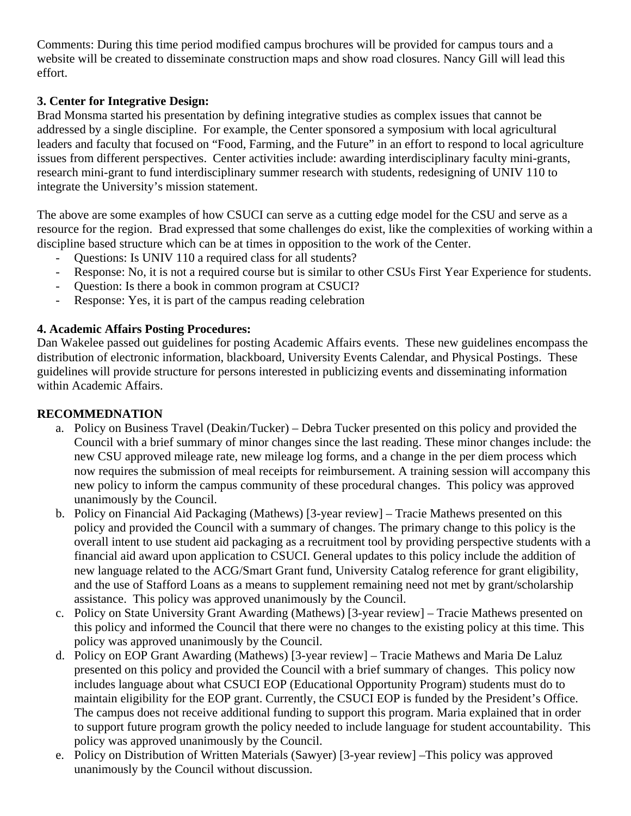Comments: During this time period modified campus brochures will be provided for campus tours and a website will be created to disseminate construction maps and show road closures. Nancy Gill will lead this effort.

## **3. Center for Integrative Design:**

Brad Monsma started his presentation by defining integrative studies as complex issues that cannot be addressed by a single discipline. For example, the Center sponsored a symposium with local agricultural leaders and faculty that focused on "Food, Farming, and the Future" in an effort to respond to local agriculture issues from different perspectives. Center activities include: awarding interdisciplinary faculty mini-grants, research mini-grant to fund interdisciplinary summer research with students, redesigning of UNIV 110 to integrate the University's mission statement.

The above are some examples of how CSUCI can serve as a cutting edge model for the CSU and serve as a resource for the region. Brad expressed that some challenges do exist, like the complexities of working within a discipline based structure which can be at times in opposition to the work of the Center.

- Questions: Is UNIV 110 a required class for all students?
- Response: No, it is not a required course but is similar to other CSUs First Year Experience for students.
- Question: Is there a book in common program at CSUCI?
- Response: Yes, it is part of the campus reading celebration

## **4. Academic Affairs Posting Procedures:**

Dan Wakelee passed out guidelines for posting Academic Affairs events. These new guidelines encompass the distribution of electronic information, blackboard, University Events Calendar, and Physical Postings. These guidelines will provide structure for persons interested in publicizing events and disseminating information within Academic Affairs.

#### **RECOMMEDNATION**

- a. Policy on Business Travel (Deakin/Tucker) Debra Tucker presented on this policy and provided the Council with a brief summary of minor changes since the last reading. These minor changes include: the new CSU approved mileage rate, new mileage log forms, and a change in the per diem process which now requires the submission of meal receipts for reimbursement. A training session will accompany this new policy to inform the campus community of these procedural changes. This policy was approved unanimously by the Council.
- b. Policy on Financial Aid Packaging (Mathews) [3-year review] Tracie Mathews presented on this policy and provided the Council with a summary of changes. The primary change to this policy is the overall intent to use student aid packaging as a recruitment tool by providing perspective students with a financial aid award upon application to CSUCI. General updates to this policy include the addition of new language related to the ACG/Smart Grant fund, University Catalog reference for grant eligibility, and the use of Stafford Loans as a means to supplement remaining need not met by grant/scholarship assistance. This policy was approved unanimously by the Council.
- c. Policy on State University Grant Awarding (Mathews) [3-year review] Tracie Mathews presented on this policy and informed the Council that there were no changes to the existing policy at this time. This policy was approved unanimously by the Council.
- d. Policy on EOP Grant Awarding (Mathews) [3-year review] Tracie Mathews and Maria De Laluz presented on this policy and provided the Council with a brief summary of changes. This policy now includes language about what CSUCI EOP (Educational Opportunity Program) students must do to maintain eligibility for the EOP grant. Currently, the CSUCI EOP is funded by the President's Office. The campus does not receive additional funding to support this program. Maria explained that in order to support future program growth the policy needed to include language for student accountability. This policy was approved unanimously by the Council.
- e. Policy on Distribution of Written Materials (Sawyer) [3-year review] –This policy was approved unanimously by the Council without discussion.